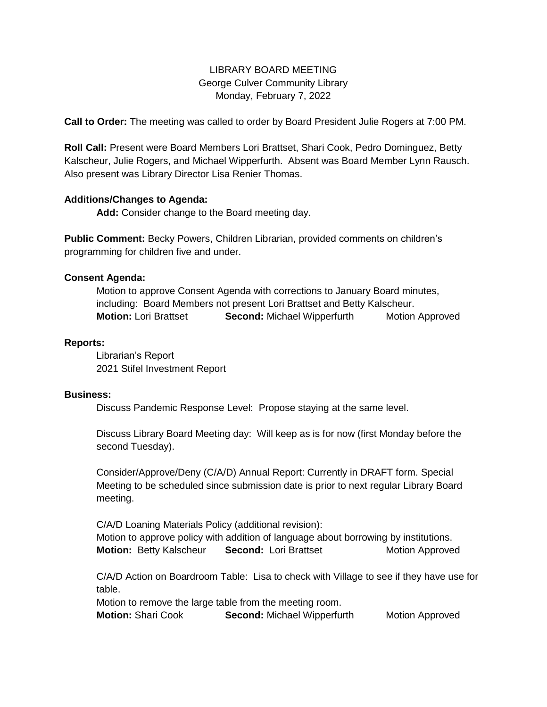# LIBRARY BOARD MEETING George Culver Community Library Monday, February 7, 2022

**Call to Order:** The meeting was called to order by Board President Julie Rogers at 7:00 PM.

**Roll Call:** Present were Board Members Lori Brattset, Shari Cook, Pedro Dominguez, Betty Kalscheur, Julie Rogers, and Michael Wipperfurth. Absent was Board Member Lynn Rausch. Also present was Library Director Lisa Renier Thomas.

## **Additions/Changes to Agenda:**

**Add:** Consider change to the Board meeting day.

**Public Comment:** Becky Powers, Children Librarian, provided comments on children's programming for children five and under.

## **Consent Agenda:**

Motion to approve Consent Agenda with corrections to January Board minutes, including: Board Members not present Lori Brattset and Betty Kalscheur. **Motion:** Lori Brattset **Second:** Michael WipperfurthMotion Approved

### **Reports:**

Librarian's Report 2021 Stifel Investment Report

### **Business:**

Discuss Pandemic Response Level: Propose staying at the same level.

Discuss Library Board Meeting day: Will keep as is for now (first Monday before the second Tuesday).

Consider/Approve/Deny (C/A/D) Annual Report: Currently in DRAFT form. Special Meeting to be scheduled since submission date is prior to next regular Library Board meeting.

C/A/D Loaning Materials Policy (additional revision): Motion to approve policy with addition of language about borrowing by institutions. **Motion:** Betty Kalscheur **Second:** Lori Brattset Motion Approved

C/A/D Action on Boardroom Table: Lisa to check with Village to see if they have use for table.

Motion to remove the large table from the meeting room.

**Motion:** Shari Cook **Second:** Michael Wipperfurth Motion Approved